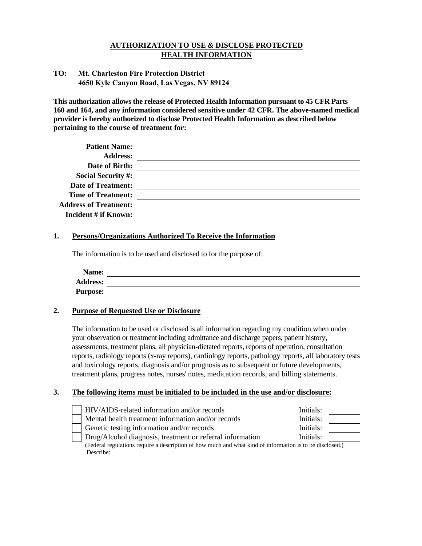# **AUTHORIZATION TO USE** *&* **DISCLOSE PROTECTED HEALTH INFORMATION**

## **TO: Mt. Charleston Fire Protection District 4650 Kyle Canyon Road, Las Vegas, NV 89124**

**This authorization allows the release of Protected Health Information pursuant to 45 CFR Parts 160 and 164, and any information considered sensitive under 42 CFR. The above-named medical provider is hereby authorized to disclose Protected Health Information as described below pertaining to the course of treatment for:** 

| <b>Patient Name:</b>         |  |
|------------------------------|--|
| <b>Address:</b>              |  |
| Date of Birth:               |  |
| <b>Social Security #:</b>    |  |
| <b>Date of Treatment:</b>    |  |
| <b>Time of Treatment:</b>    |  |
| <b>Address of Treatment:</b> |  |
| Incident # if Known:         |  |
|                              |  |

### **1. Persons/Organizations Authorized To Receive the Information**

The information is to be used and disclosed to for the purpose of:

## **2. Purpose of Requested Use or Disclosure**

The information to be used or disclosed is all information regarding my condition when under your observation or treatment including admittance and discharge papers, patient history, assessments, treatment plans, all physician-dictated reports, reports of operation, consultation reports, radiology reports (x-ray reports), cardiology reports, pathology reports, all laboratory tests and toxicology reports, diagnosis and/or prognosis as to subsequent or future developments, treatment plans, progress notes, nurses' notes, medication records, and billing statements.

## **3. The following items must be initialed to be included in the use and/or disclosure:**

| HIV/AIDS-related information and/or records                                                              | Initials: |  |
|----------------------------------------------------------------------------------------------------------|-----------|--|
| Mental health treatment information and/or records                                                       | Initials: |  |
| Genetic testing information and/or records                                                               | Initials: |  |
| Drug/Alcohol diagnosis, treatment or referral information                                                | Initials: |  |
| (Federal regulations require a description of how much and what kind of information is to be disclosed.) |           |  |
| Describe:                                                                                                |           |  |